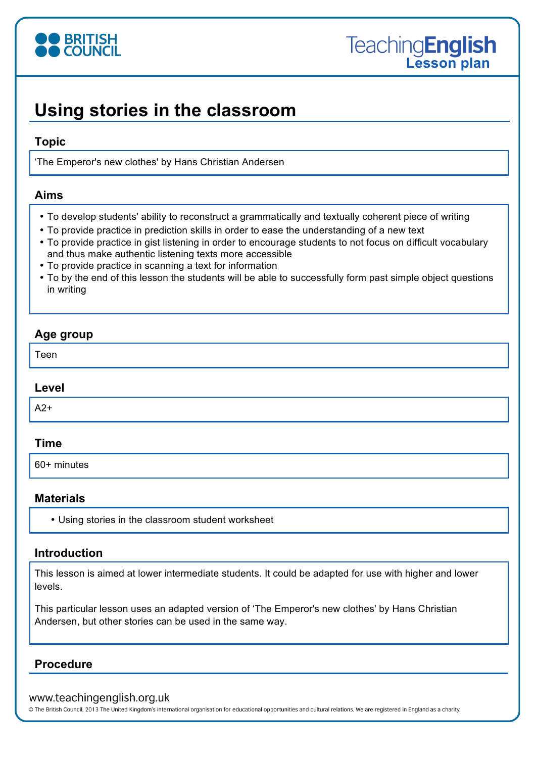

# **Using stories in the classroom**

#### **Topic**

'The Emperor's new clothes' by Hans Christian Andersen

#### **Aims**

- To develop students' ability to reconstruct a grammatically and textually coherent piece of writing
- To provide practice in prediction skills in order to ease the understanding of a new text
- To provide practice in gist listening in order to encourage students to not focus on difficult vocabulary and thus make authentic listening texts more accessible
- To provide practice in scanning a text for information
- To by the end of this lesson the students will be able to successfully form past simple object questions in writing

# **Age group**

Teen

#### **Level**

 $A2+$ 

## **Time**

60+ minutes

## **Materials**

• Using stories in the classroom student worksheet

# **Introduction**

This lesson is aimed at lower intermediate students. It could be adapted for use with higher and lower levels.

This particular lesson uses an adapted version of 'The Emperor's new clothes' by Hans Christian Andersen, but other stories can be used in the same way.

## **Procedure**

#### www.teachingenglish.org.uk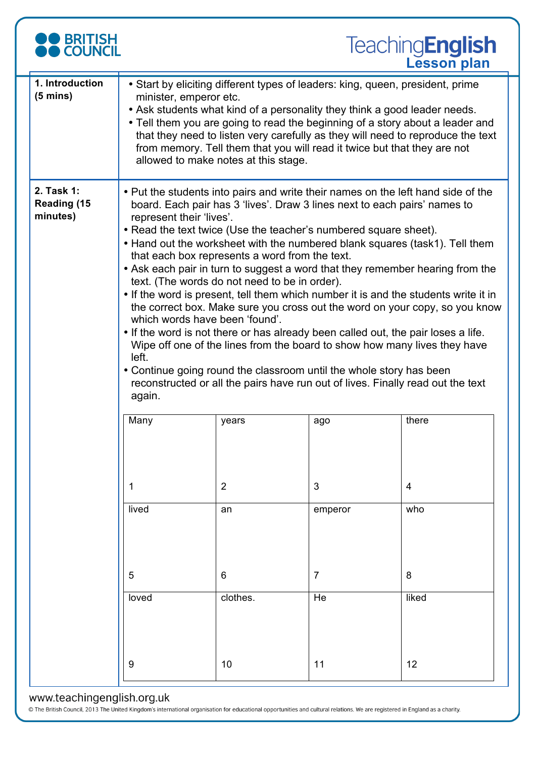

| 1. Introduction<br>$(5 \text{ mins})$        | • Start by eliciting different types of leaders: king, queen, president, prime<br>minister, emperor etc.<br>• Ask students what kind of a personality they think a good leader needs.<br>• Tell them you are going to read the beginning of a story about a leader and<br>that they need to listen very carefully as they will need to reproduce the text<br>from memory. Tell them that you will read it twice but that they are not<br>allowed to make notes at this stage.                                                                                                                                                                                                                                                                                                                                                                                                                                                                                                                                                                                                           |                |                |       |  |  |  |  |
|----------------------------------------------|-----------------------------------------------------------------------------------------------------------------------------------------------------------------------------------------------------------------------------------------------------------------------------------------------------------------------------------------------------------------------------------------------------------------------------------------------------------------------------------------------------------------------------------------------------------------------------------------------------------------------------------------------------------------------------------------------------------------------------------------------------------------------------------------------------------------------------------------------------------------------------------------------------------------------------------------------------------------------------------------------------------------------------------------------------------------------------------------|----------------|----------------|-------|--|--|--|--|
| 2. Task 1:<br><b>Reading (15</b><br>minutes) | • Put the students into pairs and write their names on the left hand side of the<br>board. Each pair has 3 'lives'. Draw 3 lines next to each pairs' names to<br>represent their 'lives'.<br>• Read the text twice (Use the teacher's numbered square sheet).<br>• Hand out the worksheet with the numbered blank squares (task1). Tell them<br>that each box represents a word from the text.<br>• Ask each pair in turn to suggest a word that they remember hearing from the<br>text. (The words do not need to be in order).<br>• If the word is present, tell them which number it is and the students write it in<br>the correct box. Make sure you cross out the word on your copy, so you know<br>which words have been 'found'.<br>• If the word is not there or has already been called out, the pair loses a life.<br>Wipe off one of the lines from the board to show how many lives they have<br>left.<br>• Continue going round the classroom until the whole story has been<br>reconstructed or all the pairs have run out of lives. Finally read out the text<br>again. |                |                |       |  |  |  |  |
|                                              | Many                                                                                                                                                                                                                                                                                                                                                                                                                                                                                                                                                                                                                                                                                                                                                                                                                                                                                                                                                                                                                                                                                    | years          | ago            | there |  |  |  |  |
|                                              | 1                                                                                                                                                                                                                                                                                                                                                                                                                                                                                                                                                                                                                                                                                                                                                                                                                                                                                                                                                                                                                                                                                       | $\overline{2}$ | 3              | 4     |  |  |  |  |
|                                              | lived                                                                                                                                                                                                                                                                                                                                                                                                                                                                                                                                                                                                                                                                                                                                                                                                                                                                                                                                                                                                                                                                                   | an             | emperor        | who   |  |  |  |  |
|                                              | 5                                                                                                                                                                                                                                                                                                                                                                                                                                                                                                                                                                                                                                                                                                                                                                                                                                                                                                                                                                                                                                                                                       | 6              | $\overline{7}$ | 8     |  |  |  |  |
|                                              | loved                                                                                                                                                                                                                                                                                                                                                                                                                                                                                                                                                                                                                                                                                                                                                                                                                                                                                                                                                                                                                                                                                   | clothes.       | He             | liked |  |  |  |  |
|                                              | 9                                                                                                                                                                                                                                                                                                                                                                                                                                                                                                                                                                                                                                                                                                                                                                                                                                                                                                                                                                                                                                                                                       | 10             | 11             | 12    |  |  |  |  |

#### www.teachingenglish.org.uk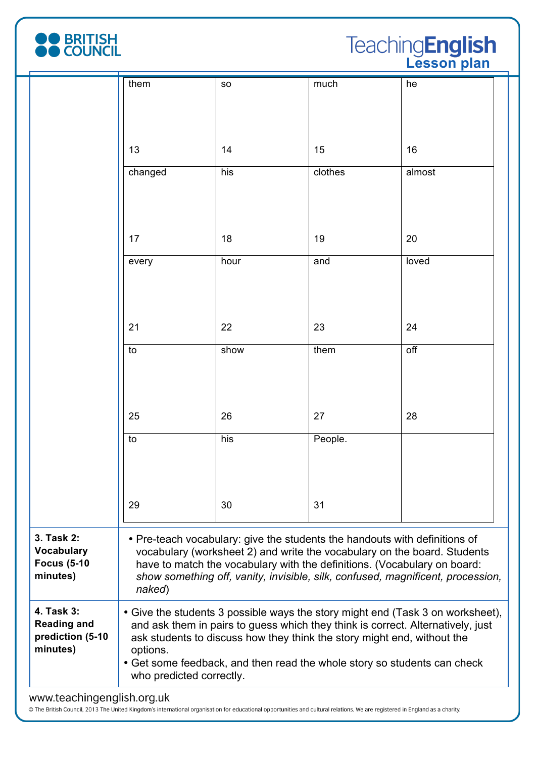

**Teaching English** 

|                                                                   | them                                                                                                                                                                                                                                                                                                                                                             | <b>SO</b> | much    | he     |  |  |  |
|-------------------------------------------------------------------|------------------------------------------------------------------------------------------------------------------------------------------------------------------------------------------------------------------------------------------------------------------------------------------------------------------------------------------------------------------|-----------|---------|--------|--|--|--|
|                                                                   | 13                                                                                                                                                                                                                                                                                                                                                               | 14        | 15      | 16     |  |  |  |
|                                                                   | changed                                                                                                                                                                                                                                                                                                                                                          | his       | clothes | almost |  |  |  |
|                                                                   | 17                                                                                                                                                                                                                                                                                                                                                               | 18        | 19      | 20     |  |  |  |
|                                                                   | every                                                                                                                                                                                                                                                                                                                                                            | hour      | and     | loved  |  |  |  |
|                                                                   | 21                                                                                                                                                                                                                                                                                                                                                               | 22        | 23      | 24     |  |  |  |
|                                                                   | to                                                                                                                                                                                                                                                                                                                                                               | show      | them    | off    |  |  |  |
|                                                                   | 25                                                                                                                                                                                                                                                                                                                                                               | 26        | 27      | 28     |  |  |  |
|                                                                   | to                                                                                                                                                                                                                                                                                                                                                               | his       | People. |        |  |  |  |
|                                                                   | 29                                                                                                                                                                                                                                                                                                                                                               | 30        | 31      |        |  |  |  |
| 3. Task 2:<br><b>Vocabulary</b><br><b>Focus (5-10</b><br>minutes) | • Pre-teach vocabulary: give the students the handouts with definitions of<br>vocabulary (worksheet 2) and write the vocabulary on the board. Students<br>have to match the vocabulary with the definitions. (Vocabulary on board:<br>show something off, vanity, invisible, silk, confused, magnificent, procession,<br>naked)                                  |           |         |        |  |  |  |
| 4. Task 3:<br><b>Reading and</b><br>prediction (5-10<br>minutes)  | • Give the students 3 possible ways the story might end (Task 3 on worksheet),<br>and ask them in pairs to guess which they think is correct. Alternatively, just<br>ask students to discuss how they think the story might end, without the<br>options.<br>• Get some feedback, and then read the whole story so students can check<br>who predicted correctly. |           |         |        |  |  |  |
| www.teachingenglish.org.uk                                        |                                                                                                                                                                                                                                                                                                                                                                  |           |         |        |  |  |  |